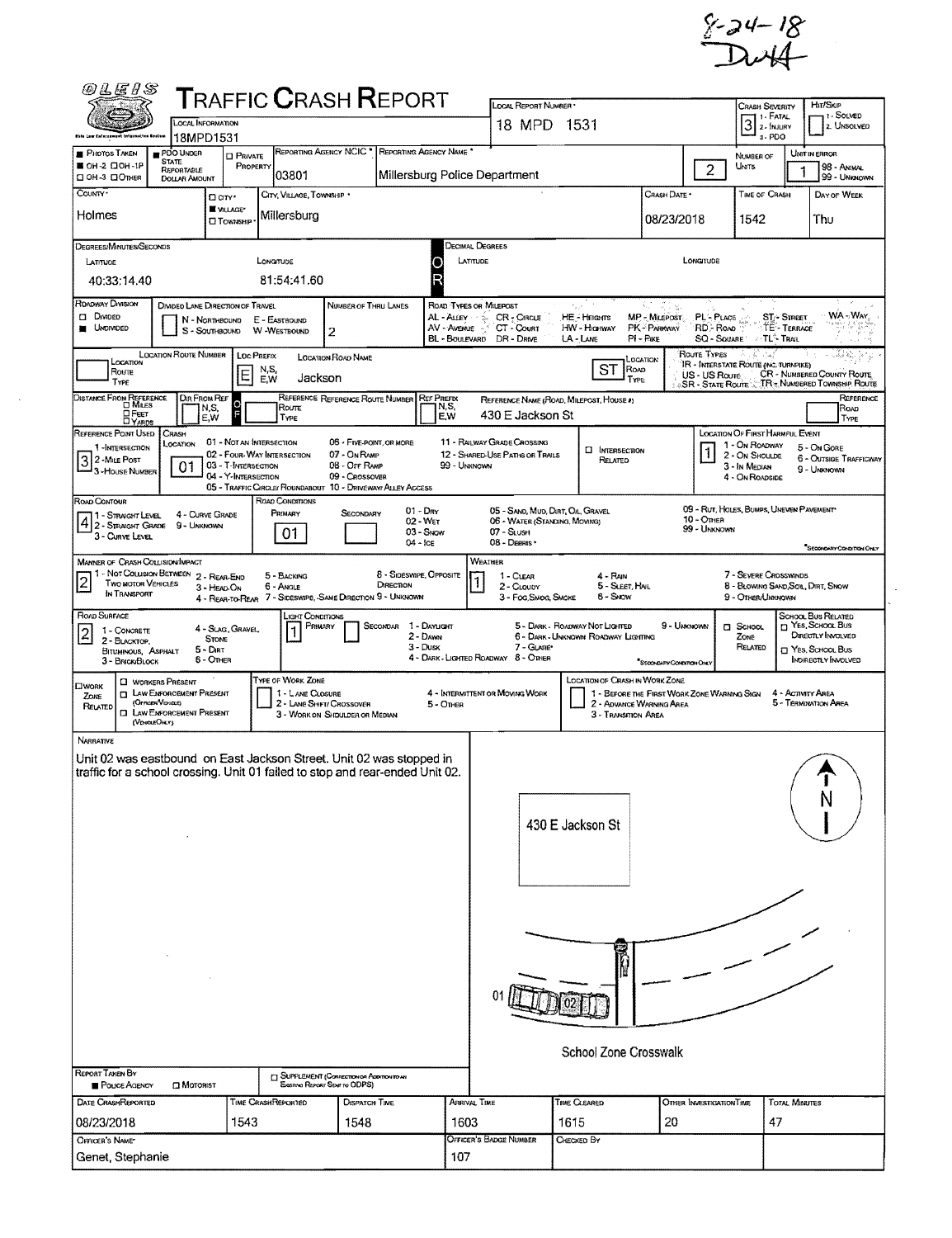$$-24-18$ <br>Duff

| <i>©LEIS</i>                                                                                                                                                                                                                                                                                                                                                                                                                                                                                                                                                                                                                                                                                                                                                                                                                  |                                                                                                                                                                                                                                                                                                                                          |                                            | <b>T</b> RAFFIC <b>C</b> RASH <b>R</b> EPORT                                                                          |                                                                                                          |                                      |                                          | LOCAL REPORT NUMBER                                           |                                                                       |                                                                         |                          | CRASH SEVERITY                                                                                          |                                           | HIT/SKIP                                                                                                         |  |  |  |
|-------------------------------------------------------------------------------------------------------------------------------------------------------------------------------------------------------------------------------------------------------------------------------------------------------------------------------------------------------------------------------------------------------------------------------------------------------------------------------------------------------------------------------------------------------------------------------------------------------------------------------------------------------------------------------------------------------------------------------------------------------------------------------------------------------------------------------|------------------------------------------------------------------------------------------------------------------------------------------------------------------------------------------------------------------------------------------------------------------------------------------------------------------------------------------|--------------------------------------------|-----------------------------------------------------------------------------------------------------------------------|----------------------------------------------------------------------------------------------------------|--------------------------------------|------------------------------------------|---------------------------------------------------------------|-----------------------------------------------------------------------|-------------------------------------------------------------------------|--------------------------|---------------------------------------------------------------------------------------------------------|-------------------------------------------|------------------------------------------------------------------------------------------------------------------|--|--|--|
| this Law Enforcement Information Opsius                                                                                                                                                                                                                                                                                                                                                                                                                                                                                                                                                                                                                                                                                                                                                                                       | <b>LOCAL INFORMATION</b><br>18MPD1531                                                                                                                                                                                                                                                                                                    |                                            |                                                                                                                       |                                                                                                          |                                      |                                          | 18 MPD 1531                                                   |                                                                       |                                                                         |                          | $31$ - Fatal<br>3-PDO                                                                                   |                                           | 7 I - SOLVED<br>2. UNSOLVED                                                                                      |  |  |  |
| <b>PHOTOS TAKEN</b><br>PDO UNDER<br><b>STATE</b><br>■ ОН-2 口ОН-1Р<br>CI OH -3 CI OTHER                                                                                                                                                                                                                                                                                                                                                                                                                                                                                                                                                                                                                                                                                                                                        | REPORTABLE<br><b>DOLLAR AMOUNT</b>                                                                                                                                                                                                                                                                                                       | <b>CI PRIVATE</b><br>PROPERTY              | REPORTING AGENCY NCIC "<br>03801                                                                                      |                                                                                                          |                                      | REPORTING AGENCY NAME <sup>*</sup>       |                                                               |                                                                       |                                                                         | $\overline{2}$           | NUMBER OF<br><b>UNITS</b>                                                                               |                                           | UNIT IN ERROR<br>98 - ANIMAL<br>99 - UNKNOWN                                                                     |  |  |  |
| COUNTY*                                                                                                                                                                                                                                                                                                                                                                                                                                                                                                                                                                                                                                                                                                                                                                                                                       | Dor <sup>.</sup>                                                                                                                                                                                                                                                                                                                         |                                            |                                                                                                                       | Millersburg Police Department<br>CRASH DATE *<br>TIME OF CRASH<br>CITY, VILLAGE, TOWNSHIP<br>DAY OF WEEK |                                      |                                          |                                                               |                                                                       |                                                                         |                          |                                                                                                         |                                           |                                                                                                                  |  |  |  |
| Holmes                                                                                                                                                                                                                                                                                                                                                                                                                                                                                                                                                                                                                                                                                                                                                                                                                        |                                                                                                                                                                                                                                                                                                                                          | WILLAGE*<br><b>U</b> TownsHIP              | Millersburg                                                                                                           |                                                                                                          |                                      |                                          |                                                               |                                                                       | 08/23/2018                                                              |                          | 1542                                                                                                    |                                           | Thu                                                                                                              |  |  |  |
| DEGREES/MINUTES/SECONDS<br>LATITUDE<br>40:33:14.40                                                                                                                                                                                                                                                                                                                                                                                                                                                                                                                                                                                                                                                                                                                                                                            |                                                                                                                                                                                                                                                                                                                                          |                                            | LONGITUDE<br>81:54:41.60                                                                                              |                                                                                                          |                                      | Decimal Degrees<br>LATITUDE<br>LONGITUDE |                                                               |                                                                       |                                                                         |                          |                                                                                                         |                                           |                                                                                                                  |  |  |  |
| ROADWAY DIVISION<br>30 m<br>DIVIDED LANE DIRECTION OF TRAVEL<br>NUMBER OF THRU LANES<br>ROAD TYPES OR MILEPOST<br>$\gamma_{\rm{A,2}}$<br>Divided<br><b>HE-HEIGHTS</b><br>MP - Milepost<br><b>ST-STREET</b><br>AL-ALLEY & CR-CIRCLE<br><b>PL-PLACE</b><br>E - EASTBOUND<br>N - Northbound<br>TE - TERRACE<br><b>UNDIVIDED</b><br>AV - Avenue ACT - Court<br><b>HW - HIGHWAY</b><br>PK-PARKWAY<br>RD - Road<br>S - SOUTHBOUND W -WESTBOUND<br>2<br>BL - BOULEVARD DR - DRIVE<br>SQ - SQUARE<br><b>TLA TRAIL</b><br>LA-LANE<br>$PI - P_{IKE}$<br>19.99                                                                                                                                                                                                                                                                           |                                                                                                                                                                                                                                                                                                                                          |                                            |                                                                                                                       |                                                                                                          |                                      |                                          |                                                               |                                                                       |                                                                         |                          |                                                                                                         |                                           | WA-WAY                                                                                                           |  |  |  |
| ROUTE TYPES<br><b>LOCATION ROUTE NUMBER</b><br>LOC PREFIX<br>it is.<br>$\begin{picture}(180,10) \put(0,0){\line(1,0){10}} \put(10,0){\line(1,0){10}} \put(10,0){\line(1,0){10}} \put(10,0){\line(1,0){10}} \put(10,0){\line(1,0){10}} \put(10,0){\line(1,0){10}} \put(10,0){\line(1,0){10}} \put(10,0){\line(1,0){10}} \put(10,0){\line(1,0){10}} \put(10,0){\line(1,0){10}} \put(10,0){\line(1,0){10}} \put(10,0){\line($<br>- As<br><b>LOCATION ROAD NAME</b><br>Location<br>Location<br>'IR - Interstate Route (INC. TURNPIKE)<br>ST<br>N,S,<br>ROAD<br>ROUTE<br>$\mathsf E$<br>CR - NUMBERED COUNTY ROUTE<br>US - US Roure<br>Jackson<br>E,W<br>TYPE<br>TYPE<br>SR - STATE ROUTE CTR + NUMBERED TOWNSHIP ROUTE<br>REFERENCE REFERENCE ROUTE NUMBER REF PREFIX<br>DIR FROM REF<br>REFERENCE NAME (ROAD, MILEPOST, HOUSE #) |                                                                                                                                                                                                                                                                                                                                          |                                            |                                                                                                                       |                                                                                                          |                                      |                                          |                                                               |                                                                       |                                                                         |                          |                                                                                                         |                                           | REFERENCE                                                                                                        |  |  |  |
| DISTANCE FROM REFERENCE<br><b>OFEET</b>                                                                                                                                                                                                                                                                                                                                                                                                                                                                                                                                                                                                                                                                                                                                                                                       | N,S,<br>E,W                                                                                                                                                                                                                                                                                                                              | lo<br>F                                    | Route<br>Type                                                                                                         |                                                                                                          |                                      | N,S,<br>E,W                              | 430 E Jackson St                                              |                                                                       |                                                                         |                          |                                                                                                         |                                           | ROAD<br>TYPE                                                                                                     |  |  |  |
| REFERENCE POINT USED<br>CRASH<br>LOCATION<br>1-INTERSECTION<br>3 2 - Mile Post<br>3 - House Number                                                                                                                                                                                                                                                                                                                                                                                                                                                                                                                                                                                                                                                                                                                            | 01                                                                                                                                                                                                                                                                                                                                       | 03 - T-INTERSECTION<br>04 - Y-IMTERSECTION | 01 - NOT AN INTERSECTION<br>02 - FOUR-WAY INTERSECTION<br>05 - TRAFFIC CIRCLE/ ROUNDABOUT 10 - DRIVEWAY/ ALLEY ACCESS | 06 - FIVE-POINT, OR MORE<br>07 - On RAMP<br>08 - Off RAMP<br>09 - CROSSOVER                              |                                      | 99 - UNKNOWN                             | 11 - RALWAY GRADE CROSSING<br>12 - SHARED-USE PATHS OR TRAILS | <b>D</b> INTERSECTION<br>RELATED                                      |                                                                         |                          | LOCATION OF FIRST HARMFUL EVENT<br>1 - On ROADWAY<br>2 - On Shoulde<br>3 - In Median<br>4 - ON ROADSIDE |                                           | 5 - On Gore<br>6 - OUTSIDE TRAFFICWAY<br>9 - UNKNOWN                                                             |  |  |  |
| ROAD CONTOUR<br>1 - Straight Level<br>3 - CURVE LEVEL                                                                                                                                                                                                                                                                                                                                                                                                                                                                                                                                                                                                                                                                                                                                                                         | ROAD CONDITIONS<br>09 - RUT, HOLES, BUMPS, UNEVEN PAVEMENT<br>$01 - Draw$<br>05 - SAND, MUD, DIRT, OIL, GRAVEL<br>Primary<br>SECONDARY<br>4 - CURVE GRADE<br>10 - Отнен<br>4 2 - STRAIGHT GRADE 9 - UNKNOWN<br>06 - WATER (STANDING, MOVING)<br>02 - Wer<br>99 - UNKNOWN<br>$03 -$ SNOW<br>07 - SLUSH<br>01<br>08 - DEBRIS<br>$04 -$ FCE |                                            |                                                                                                                       |                                                                                                          |                                      |                                          |                                                               |                                                                       |                                                                         |                          |                                                                                                         |                                           | SECONDARY CONDITION ONLY                                                                                         |  |  |  |
| <b>MANNER OF CRASH COLLISION/IMPACT</b><br>1 - Not Collision Between 2 - Rear-End<br>$\sqrt{2}$<br><b>Two MOTOR VEHICLES</b><br>IN TRANSPORT                                                                                                                                                                                                                                                                                                                                                                                                                                                                                                                                                                                                                                                                                  | 3 - HEAD-ON                                                                                                                                                                                                                                                                                                                              |                                            | 5 - BACKING<br>6 - Angle<br>4 - REAR-TO-REAR 7 - SIDESWIPE, -SAME DIRECTION 9 - UNKNOWN                               |                                                                                                          | 8 - Sideswipe, Opposite<br>DIRECTION |                                          | WEATHER<br>1 - CLEAR<br>2 - CLOUDY<br>3 - Fog Smog, Smoke     | $4 -$ RAIN<br>5 - SLEET, HAIL<br>6 - Svow                             |                                                                         |                          | 7 - SEVERE CROSSWINDS<br>8 - BLOWING SAND, SOIL, DIRT, SNOW<br>9 - Other/Unknown                        |                                           |                                                                                                                  |  |  |  |
| ROAD SURFACE<br>1 - CONCRETE<br>$\vert 2 \vert$<br>2 - BLACKTOP,<br>BITUMINOUS, ASPHALT<br>3 - BRICK BLOCK                                                                                                                                                                                                                                                                                                                                                                                                                                                                                                                                                                                                                                                                                                                    | <b>STONE</b><br>$5 - Dir$<br>6 - Other                                                                                                                                                                                                                                                                                                   | 4 - SLAG, GRAVEL                           | LIGHT CONDITIONS<br>PRIMARY                                                                                           |                                                                                                          | SECONDAR 1 - DAYLIGHT<br>$3 - D$ USK | 2 - DAWN                                 | 7 - GLARE*<br>4 - DARK - LIGHTED ROADWAY 8 - OTHER            | 5 - DARK - ROADWAY NOT LIGHTED<br>6 - DARK - UNKNOWN ROADWAY LIGHTING | 9 - UNKNOWN<br>SECONDARY CONDITION ONLY                                 |                          | CI SCHOOL<br>ZONE<br>RELATED                                                                            |                                           | SCHOOL BUS RELATED<br>T YES, SCHOOL BUS<br>DIRECTLY INVOLVED<br>T Yes, School, Bus<br><b>INDIRECTLY INVOLVED</b> |  |  |  |
| <b>CI WORKERS PRESENT</b><br><b>CIWORK</b><br><b>D</b> LAW ENFORCEMENT PRESENT<br>ZONE<br>(OFFICER/VENCLE)<br>RELATED<br><b>EL LAW ENFORCEMENT PRESENT</b><br>(VENOUEOHLY)                                                                                                                                                                                                                                                                                                                                                                                                                                                                                                                                                                                                                                                    |                                                                                                                                                                                                                                                                                                                                          |                                            | TYPE OF WORK ZONE<br>1 - LANE CLOSURE<br>2 - LANE SHIFT/ CROSSOVER                                                    | 3 - WORK ON SHDULDER OR MEDIAN                                                                           |                                      | 5 - OTHER                                | 4 - INTERMITTENT OR MOVING WORK                               | <b>LOCATION OF CRASH IN WORK ZONE</b><br>3 - TRANSITION AREA          | 1 - BEFORE THE FIRST WORK ZONE WARNING SIGN<br>2 - ADVANCE WARNING AREA |                          |                                                                                                         | 4 - ACTIVITY AREA<br>5 - TERMINATION AREA |                                                                                                                  |  |  |  |
| <b>NARRATIVE</b><br>Unit 02 was eastbound on East Jackson Street. Unit 02 was stopped in<br>traffic for a school crossing. Unit 01 failed to stop and rear-ended Unit 02                                                                                                                                                                                                                                                                                                                                                                                                                                                                                                                                                                                                                                                      |                                                                                                                                                                                                                                                                                                                                          |                                            |                                                                                                                       |                                                                                                          |                                      |                                          |                                                               |                                                                       |                                                                         |                          |                                                                                                         |                                           |                                                                                                                  |  |  |  |
|                                                                                                                                                                                                                                                                                                                                                                                                                                                                                                                                                                                                                                                                                                                                                                                                                               |                                                                                                                                                                                                                                                                                                                                          |                                            |                                                                                                                       |                                                                                                          |                                      |                                          |                                                               | 430 E Jackson St                                                      |                                                                         |                          |                                                                                                         |                                           |                                                                                                                  |  |  |  |
|                                                                                                                                                                                                                                                                                                                                                                                                                                                                                                                                                                                                                                                                                                                                                                                                                               |                                                                                                                                                                                                                                                                                                                                          |                                            |                                                                                                                       |                                                                                                          |                                      |                                          |                                                               |                                                                       |                                                                         |                          |                                                                                                         |                                           |                                                                                                                  |  |  |  |
|                                                                                                                                                                                                                                                                                                                                                                                                                                                                                                                                                                                                                                                                                                                                                                                                                               |                                                                                                                                                                                                                                                                                                                                          |                                            |                                                                                                                       |                                                                                                          |                                      |                                          |                                                               |                                                                       |                                                                         |                          |                                                                                                         |                                           |                                                                                                                  |  |  |  |
|                                                                                                                                                                                                                                                                                                                                                                                                                                                                                                                                                                                                                                                                                                                                                                                                                               |                                                                                                                                                                                                                                                                                                                                          |                                            |                                                                                                                       |                                                                                                          |                                      |                                          |                                                               | School Zone Crosswalk                                                 |                                                                         |                          |                                                                                                         |                                           |                                                                                                                  |  |  |  |
| <b>REPORT TAKEN BY</b><br>POUCE AGENCY                                                                                                                                                                                                                                                                                                                                                                                                                                                                                                                                                                                                                                                                                                                                                                                        | <b>Q</b> MOTORIST                                                                                                                                                                                                                                                                                                                        |                                            | ["] SUPPLEMENT (CORRECTION OF ADDITION TO AN                                                                          | Examo Report Seve to ODPS)                                                                               |                                      |                                          |                                                               |                                                                       |                                                                         |                          |                                                                                                         |                                           |                                                                                                                  |  |  |  |
| DATE CRASHREPORTED<br>08/23/2018                                                                                                                                                                                                                                                                                                                                                                                                                                                                                                                                                                                                                                                                                                                                                                                              |                                                                                                                                                                                                                                                                                                                                          | 1543                                       | <b>THE CRASHREPORTED</b>                                                                                              | <b>DISPATCH TIME</b><br>1548                                                                             |                                      | <b>ARRIVAL TIME</b><br>1603              |                                                               | TIME CLEARED<br>1615                                                  | 20                                                                      | OTHER INVESTIGATION TIME | 47                                                                                                      | <b>TOTAL MINUTES</b>                      |                                                                                                                  |  |  |  |
| OFFICER'S NAME*<br>Genet, Stephanie                                                                                                                                                                                                                                                                                                                                                                                                                                                                                                                                                                                                                                                                                                                                                                                           |                                                                                                                                                                                                                                                                                                                                          |                                            |                                                                                                                       |                                                                                                          |                                      | 107                                      | Officer's BADGE NUMBER                                        | CHECKED BY                                                            |                                                                         |                          |                                                                                                         |                                           |                                                                                                                  |  |  |  |

 $\bar{z}$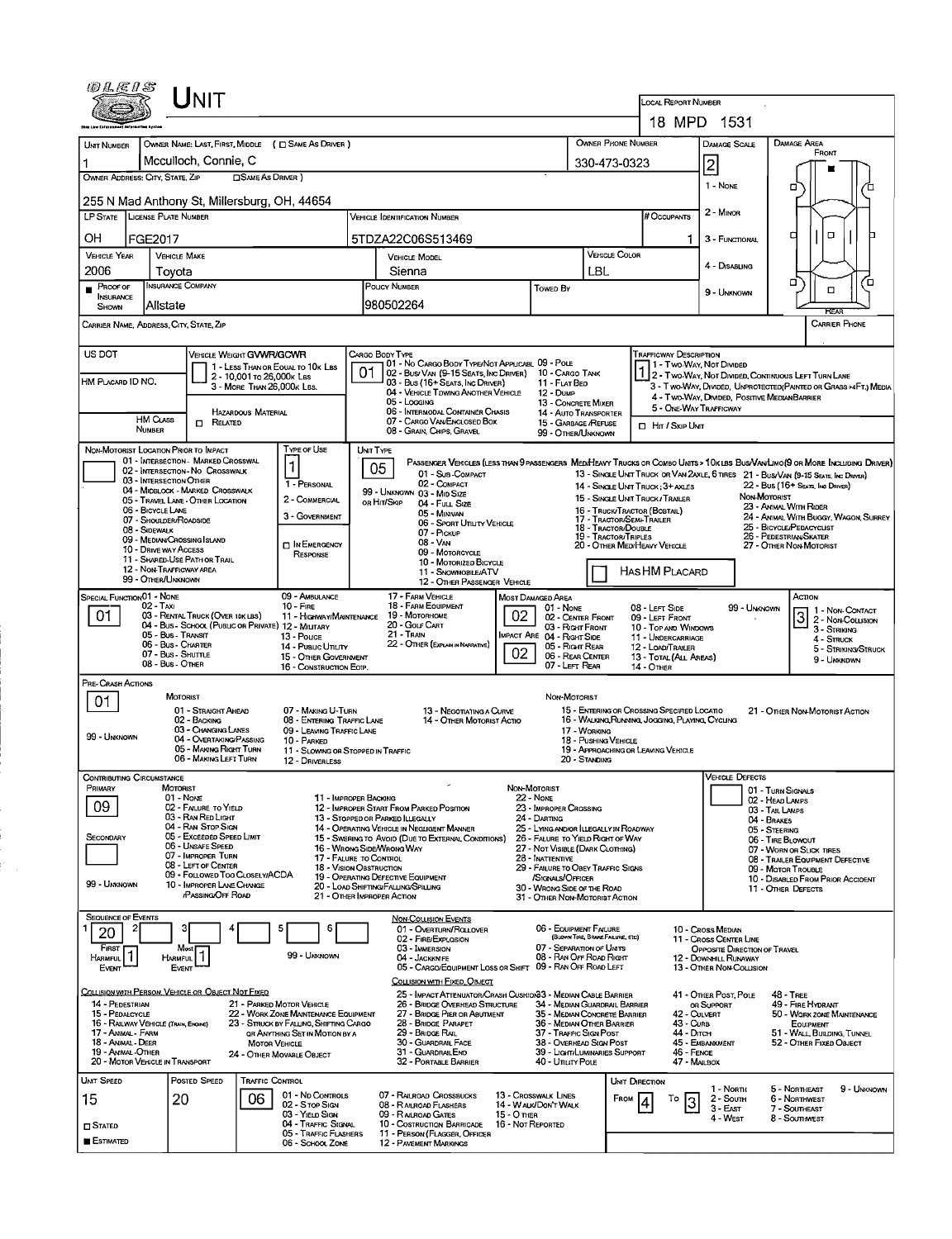| 0LEIS                                                                                                                                                                                |                                                                | <b>NIT</b>                                                  |                            |                                                         |                                                                                                                                          |                                                                                                                                                 |                                                        |                                                  |                                                                                |                          | <b>LOCAL REPORT NUMBER</b>                                         |                                                                                   |                                                                                                                                                                                                                     |  |  |  |  |
|--------------------------------------------------------------------------------------------------------------------------------------------------------------------------------------|----------------------------------------------------------------|-------------------------------------------------------------|----------------------------|---------------------------------------------------------|------------------------------------------------------------------------------------------------------------------------------------------|-------------------------------------------------------------------------------------------------------------------------------------------------|--------------------------------------------------------|--------------------------------------------------|--------------------------------------------------------------------------------|--------------------------|--------------------------------------------------------------------|-----------------------------------------------------------------------------------|---------------------------------------------------------------------------------------------------------------------------------------------------------------------------------------------------------------------|--|--|--|--|
|                                                                                                                                                                                      |                                                                |                                                             |                            |                                                         |                                                                                                                                          |                                                                                                                                                 |                                                        |                                                  |                                                                                |                          |                                                                    | 18 MPD 1531                                                                       |                                                                                                                                                                                                                     |  |  |  |  |
| UNIT NUMBER                                                                                                                                                                          |                                                                | OWNER NAME: LAST, FIRST, MIDDLE ( C SAME AS DRIVER )        |                            | <b>OWNER PHONE NUMBER</b>                               |                                                                                                                                          | DAMAGE SCALE                                                                                                                                    | DAMAGE AREA                                            |                                                  |                                                                                |                          |                                                                    |                                                                                   |                                                                                                                                                                                                                     |  |  |  |  |
|                                                                                                                                                                                      |                                                                | Mcculloch, Connie, C                                        |                            |                                                         |                                                                                                                                          |                                                                                                                                                 |                                                        | 330-473-0323                                     |                                                                                |                          | 2                                                                  | FRONT                                                                             |                                                                                                                                                                                                                     |  |  |  |  |
|                                                                                                                                                                                      | OWNER ADDRESS: CITY, STATE, ZIP<br>□SAME AS DRIVER)            |                                                             |                            |                                                         |                                                                                                                                          |                                                                                                                                                 |                                                        |                                                  |                                                                                |                          |                                                                    |                                                                                   |                                                                                                                                                                                                                     |  |  |  |  |
| 255 N Mad Anthony St, Millersburg, OH, 44654                                                                                                                                         |                                                                |                                                             |                            |                                                         |                                                                                                                                          | 1 - NONE                                                                                                                                        | α                                                      |                                                  |                                                                                |                          |                                                                    |                                                                                   |                                                                                                                                                                                                                     |  |  |  |  |
|                                                                                                                                                                                      | LP STATE LICENSE PLATE NUMBER<br>Vehicle Identification Number |                                                             |                            |                                                         |                                                                                                                                          |                                                                                                                                                 |                                                        |                                                  |                                                                                |                          |                                                                    |                                                                                   |                                                                                                                                                                                                                     |  |  |  |  |
| OН<br>FGE2017<br>5TDZA22C06S513469                                                                                                                                                   |                                                                |                                                             |                            |                                                         |                                                                                                                                          |                                                                                                                                                 |                                                        |                                                  |                                                                                |                          |                                                                    | 3 - FUNCTIONAL                                                                    | о<br>о                                                                                                                                                                                                              |  |  |  |  |
| <b>VEHICLE YEAR</b>                                                                                                                                                                  | <b>VEHICLE MAKE</b>                                            |                                                             |                            |                                                         |                                                                                                                                          | VEHICLE MODEL                                                                                                                                   |                                                        |                                                  | <b>VEHICLE COLOR</b>                                                           |                          |                                                                    |                                                                                   |                                                                                                                                                                                                                     |  |  |  |  |
| 2006                                                                                                                                                                                 | Tovota                                                         |                                                             |                            |                                                         |                                                                                                                                          | Sienna                                                                                                                                          |                                                        | LBL                                              |                                                                                |                          | 4 - DISABLING                                                      |                                                                                   |                                                                                                                                                                                                                     |  |  |  |  |
| PROOF OF<br><b>INSURANCE</b><br><b>SHOWN</b>                                                                                                                                         | INSURANCE COMPANY<br>Allstate                                  |                                                             |                            |                                                         |                                                                                                                                          | <b>POLICY NUMBER</b><br>980502264                                                                                                               | <b>TOWED BY</b>                                        |                                                  |                                                                                |                          | 9 - UNKNOWN                                                        | σ<br>้อ<br>O<br><b>KFAR</b>                                                       |                                                                                                                                                                                                                     |  |  |  |  |
| CARRIER NAME, ADDRESS, CITY, STATE, ZIP                                                                                                                                              |                                                                |                                                             |                            |                                                         |                                                                                                                                          |                                                                                                                                                 |                                                        |                                                  |                                                                                |                          |                                                                    |                                                                                   | <b>CARRIER PHONE</b>                                                                                                                                                                                                |  |  |  |  |
| US DOT<br>VEHICLE WEIGHT GVWR/GCWR<br>CARGO BODY TYPE<br><b>TRAFFICWAY DESCRIPTION</b>                                                                                               |                                                                |                                                             |                            |                                                         |                                                                                                                                          |                                                                                                                                                 |                                                        |                                                  |                                                                                |                          |                                                                    |                                                                                   |                                                                                                                                                                                                                     |  |  |  |  |
|                                                                                                                                                                                      |                                                                |                                                             | 2 - 10.001 то 26,000к Las  | 1 - LESS THAN OR EOUAL TO 10K LBS                       |                                                                                                                                          | 01 - No CARGO BODY TYPE/NOT APPLICABL 09 - POLE<br>02 - Bus/ Van (9-15 Seats, Inc Driver)                                                       |                                                        | 10 - CARGO TANK                                  |                                                                                |                          |                                                                    | 1 - Two-Way, Not Divided                                                          | 2 - Two-Way, Not Divided, Continuous Left Turn Lane                                                                                                                                                                 |  |  |  |  |
| HM PLACARD ID NO.                                                                                                                                                                    |                                                                |                                                             | 3 - MORE THAN 26,000K LBS. |                                                         |                                                                                                                                          | 03 - Bus (16+ SEATS, INC DRIVER)<br>04 - VEHICLE TOWING ANOTHER VEHICLE                                                                         |                                                        | 11 - FLAT BED<br>12 - Dune                       |                                                                                |                          |                                                                    |                                                                                   | 3 - T WO-WAY, DIVIDED, UNPROTECTED (PAINTED OR GRASS >4FT.) MEDIA<br>4 - Two-Way, DIVIDED, POSITIVE MEDIANBARRIER                                                                                                   |  |  |  |  |
|                                                                                                                                                                                      |                                                                |                                                             | <b>HAZARDOUS MATERIAL</b>  |                                                         |                                                                                                                                          | 05 - Logging<br>06 - INTERMODAL CONTAINER CHASIS                                                                                                |                                                        | 13 - CONCRETE MIXER<br>14 - AUTO TRANSPORTER     |                                                                                |                          | 5 - ONE-WAY TRAFFICWAY                                             |                                                                                   |                                                                                                                                                                                                                     |  |  |  |  |
|                                                                                                                                                                                      | <b>HM CLASS</b><br>NUMBER                                      | <b>D</b> RELATED                                            |                            |                                                         |                                                                                                                                          | 07 - CARGO VAN ENCLOSED BOX<br>08 - GRAIN, CHIPS, GRAVEL                                                                                        | 15 - GARBAGE /REFUSE<br>99 - OTHER/UNKNOWN             |                                                  |                                                                                | <b>D</b> HIT / SKIP UNIT |                                                                    |                                                                                   |                                                                                                                                                                                                                     |  |  |  |  |
| NON-MOTORIST LOCATION PRIOR TO IMPACT                                                                                                                                                |                                                                | 01 - INTERSECTION MARKED CROSSWAL                           |                            | TYPE OF USE                                             |                                                                                                                                          | UNIT TYPE                                                                                                                                       |                                                        |                                                  |                                                                                |                          |                                                                    |                                                                                   |                                                                                                                                                                                                                     |  |  |  |  |
|                                                                                                                                                                                      | 03 - INTERSECTION OTHER                                        | 02 - INTERSECTION - NO CROSSWALK                            |                            | 1                                                       |                                                                                                                                          | 05<br>01 - Sub-COMPACT                                                                                                                          |                                                        |                                                  |                                                                                |                          |                                                                    |                                                                                   | PASSENGER VEHICLES (LESS THAN 9 PASSENGERS MEDIHEAVY TRUCKS OR COMBO UNITS > 10K LBS BUS/VAN/LIMO(9 OR MORE INCLUDING DRIVER)<br>13 - SINGLE UNIT TRUCK OR VAN 2AXLE, 6 TIRES 21 - BUS/VAN (9-15 SEATS, Inc DRIVER) |  |  |  |  |
|                                                                                                                                                                                      |                                                                | 04 - MIDBLOCK - MARKED CROSSWALK                            |                            | 1 - PERSONAL                                            |                                                                                                                                          | 02 - COMPACT<br>99 - UNKNOWN 03 - MID SIZE                                                                                                      |                                                        |                                                  |                                                                                |                          | 14 - SINGLE UNIT TRUCK: 3+ AXLES<br>15 - SINGLE UNIT TRUCK/TRAILER |                                                                                   | 22 - Bus (16+ Seats, Inc Driver)<br>NON-MOTORIST                                                                                                                                                                    |  |  |  |  |
|                                                                                                                                                                                      | 06 - BICYCLE LANE                                              | 05 - TRAVEL LANE - OTHER LOCATION                           |                            | 2 - COMMERCIAL<br>3 - GOVERNMENT                        |                                                                                                                                          | OR HIT/SKIP<br>04 - Full Size<br>05 - MINIVAN                                                                                                   |                                                        |                                                  |                                                                                |                          | 16 - TRUCK/TRACTOR (BOBTAIL)                                       |                                                                                   | 23 - ANIMAL WITH RIDER<br>24 - ANIMAL WITH BUGGY, WAGON, SURREY                                                                                                                                                     |  |  |  |  |
|                                                                                                                                                                                      | 07 - SHOULDER/ROADSIDE<br>08 - SIDEWALK                        |                                                             |                            |                                                         |                                                                                                                                          | 06 - Sport UTILITY VEHICLE<br>07 - Pickup                                                                                                       |                                                        |                                                  | 17 - TRACTOR/SEMI-TRAILER<br>18 - TRACTOR/DOUBLE                               |                          |                                                                    |                                                                                   | 25 - BICYCLE/PEDACYCLIST<br>26 - PEDESTRIAN SKATER                                                                                                                                                                  |  |  |  |  |
|                                                                                                                                                                                      | 10 - Drive way Access                                          | 09 - MEDIAN/CROSSING ISLAND                                 |                            | <b>DIN EMERGENCY</b>                                    | 19 - TRACTOR/TRIPLES<br>08 - VAN<br>09 - MOTORCYCLE                                                                                      |                                                                                                                                                 |                                                        |                                                  |                                                                                |                          | 20 - OTHER MEDIHEAVY VEHICLE                                       | 27 - OTHER NON-MOTORIST                                                           |                                                                                                                                                                                                                     |  |  |  |  |
| RESPONSE<br>11 - SHARED-USE PATH OR TRAIL<br>10 - MOTORIZED BICYCLE<br>12 - NON-TRAFFICWAY AREA<br>11 - SNOWMOBILE/ATV                                                               |                                                                |                                                             |                            |                                                         |                                                                                                                                          |                                                                                                                                                 |                                                        |                                                  |                                                                                |                          |                                                                    |                                                                                   |                                                                                                                                                                                                                     |  |  |  |  |
| HAS HM PLACARD<br>99 - OTHER/UNKNOWN<br>12 - OTHER PASSENGER VEHICLE                                                                                                                 |                                                                |                                                             |                            |                                                         |                                                                                                                                          |                                                                                                                                                 |                                                        |                                                  |                                                                                |                          |                                                                    |                                                                                   |                                                                                                                                                                                                                     |  |  |  |  |
| <b>SPECIAL FUNCTIONO1 - NONE</b>                                                                                                                                                     | 02 - Taxi                                                      |                                                             |                            | 09 - AMBULANCE<br>$10 -$ Fire                           |                                                                                                                                          | 17 - FARM VEHICLE<br>18 - FARM EQUIPMENT                                                                                                        |                                                        | MOST DAMAGED AREA<br>01 - NONE                   |                                                                                |                          | 08 - LEFT SIDE                                                     |                                                                                   | Астом<br>99 - Unknown<br>1 1 - Non-Contact                                                                                                                                                                          |  |  |  |  |
| 01                                                                                                                                                                                   |                                                                | 03 - RENTAL TRUCK (OVER 10K LBS)                            |                            | 04 - Bus - School (Public or Private) 12 - MILITARY     | 02<br>19 - Мотовноме<br>11 - Highway/Mantenance<br>02 - CENTER FRONT<br>20 - Golf Cart<br>03 - Right Front<br>IMPACT ARE 04 - RIGHT SIDE |                                                                                                                                                 |                                                        |                                                  |                                                                                |                          | 09 - LEFT FRONT<br>10 - TOP AND WINDOWS                            |                                                                                   | 3<br>2 - Non-Collision                                                                                                                                                                                              |  |  |  |  |
|                                                                                                                                                                                      | 05 - Bus Transit<br>06 - Bus Charter                           |                                                             |                            | 13 - Pouce<br>14 - Pusuc Ununy                          |                                                                                                                                          | <b>21 - TRAIN</b><br>22 - OTHER (EXPLAIN IN NARRATIVE)                                                                                          |                                                        | 05 - Right Rear                                  |                                                                                |                          | 11 - UNDERCARRIAGE<br>12 - LOAD/TRAILER                            |                                                                                   | 4 - STRUCK<br>5 - STRIKING/STRUCK                                                                                                                                                                                   |  |  |  |  |
| 02<br>07 - Bus - SHUTTLE<br>15 - OTHER GOVERNMENT<br>08 - Bus - OTHER<br>16 - CONSTRUCTION EOIP,                                                                                     |                                                                |                                                             |                            |                                                         |                                                                                                                                          |                                                                                                                                                 |                                                        |                                                  |                                                                                | 06 - REAR CENTER         | 13 - TOTAL (ALL AREAS)<br>14 - Отнев                               |                                                                                   | 9 - Unknown                                                                                                                                                                                                         |  |  |  |  |
| PRE- CRASH ACTIONS                                                                                                                                                                   |                                                                |                                                             |                            |                                                         |                                                                                                                                          |                                                                                                                                                 |                                                        |                                                  |                                                                                |                          |                                                                    |                                                                                   |                                                                                                                                                                                                                     |  |  |  |  |
| 01                                                                                                                                                                                   | <b>MOTORIST</b>                                                | 01 - STRAIGHT AHEAD                                         |                            | 07 - MAKING U-TURN                                      |                                                                                                                                          | 13 - NEGOTIATING A CURVE                                                                                                                        |                                                        | NON-MOTORIST                                     |                                                                                |                          | 15 - ENTERING OR CROSSING SPECIFIED LOCATIO                        |                                                                                   | 21 - OTHER NON-MOTORIST ACTION                                                                                                                                                                                      |  |  |  |  |
|                                                                                                                                                                                      |                                                                | 02 - BACKING<br>03 - CHANGING LANES                         |                            | 08 - ENTERING TRAFFIC LANE<br>09 - LEAVING TRAFFIC LANE |                                                                                                                                          | 14 - OTHER MOTORIST ACTIO                                                                                                                       |                                                        |                                                  | 17 - WORKING                                                                   |                          | 16 - WALKING RUNNING, JOGGING, PLAYING, CYCLING                    |                                                                                   |                                                                                                                                                                                                                     |  |  |  |  |
| 99 - UNKNOWN                                                                                                                                                                         |                                                                | 04 - OVERTAKING/PASSING<br>05 - MAKING RIGHT TURN           |                            | 10 - PARKED<br>11 - SLOWING OR STOPPED IN TRAFFIC       |                                                                                                                                          |                                                                                                                                                 |                                                        |                                                  | 18 - PUSHING VEHICLE                                                           |                          | 19 - APPROACHING OR LEAVING VEHICLE                                |                                                                                   |                                                                                                                                                                                                                     |  |  |  |  |
|                                                                                                                                                                                      |                                                                | 06 - MAKING LEFT TURN                                       |                            | 12 - DRIVERLESS                                         |                                                                                                                                          |                                                                                                                                                 |                                                        |                                                  | 20 - Standing                                                                  |                          |                                                                    |                                                                                   |                                                                                                                                                                                                                     |  |  |  |  |
| CONTRIBUTING CIRCUMSTANCE<br>Primary                                                                                                                                                 | <b>MOTORIST</b>                                                |                                                             |                            |                                                         |                                                                                                                                          |                                                                                                                                                 | <b>NON-MOTORIST</b>                                    |                                                  |                                                                                |                          |                                                                    | <b>VEHICLE DEFECTS</b>                                                            | 01 - TURN SIGNALS                                                                                                                                                                                                   |  |  |  |  |
| 09                                                                                                                                                                                   | 01 - None                                                      | 02 - FAILURE TO YIELD                                       |                            | 11 - IMPROPER BACKING                                   |                                                                                                                                          | 12 - IMPROPER START FROM PARKED POSITION                                                                                                        | <b>22 - None</b>                                       | 23 - IMPROPER CROSSING                           |                                                                                |                          |                                                                    |                                                                                   | 02 - HEAD LAMPS                                                                                                                                                                                                     |  |  |  |  |
|                                                                                                                                                                                      |                                                                | 03 - RAN RED LIGHT<br>04 - RAN STOP SIGN                    |                            |                                                         |                                                                                                                                          | 13 - Stopped or Parked Illegally<br>14 - OPERATING VEHICLE IN NEGLIGENT MANNER                                                                  | 24 - DARTING<br>25 - LYING AND/OR ILLEGALLY IN ROADWAY |                                                  |                                                                                |                          |                                                                    | 03 - TAIL LAMPS<br>04 - BRAKES                                                    |                                                                                                                                                                                                                     |  |  |  |  |
| SECONDARY                                                                                                                                                                            |                                                                | 05 - Exceeded Speed Limit<br>06 - UNSAFE SPEED              |                            |                                                         |                                                                                                                                          | 15 - Swering to Avoid (Due to External Conditions)<br>16 - WRONG SIDFANRONG WAY                                                                 | 26 - FALURE TO YIELD RIGHT OF WAY                      |                                                  |                                                                                |                          | 05 - STEERING<br>06 - TIRE BLOWOUT                                 |                                                                                   |                                                                                                                                                                                                                     |  |  |  |  |
|                                                                                                                                                                                      |                                                                | 07 - IMPROPER TURN<br>08 - LEFT OF CENTER                   |                            |                                                         |                                                                                                                                          | 27 - NOT VISIBLE (DARK CLOTHING)<br>17 - FALURE TO CONTROL<br>28 - INATTENTIVE<br>18 - VISION OBSTRUCTION<br>29 - FAILURE TO OBEY TRAFFIC SIGNS |                                                        |                                                  |                                                                                |                          |                                                                    |                                                                                   | 07 - WORN OR SLICK TIRES<br>08 - TRAILER EQUIPMENT DEFECTIVE                                                                                                                                                        |  |  |  |  |
| 99 - UNKNOWN                                                                                                                                                                         |                                                                | 09 - FOLLOWED TOO CLOSELY/ACDA<br>10 - IMPROPER LANE CHANGE |                            |                                                         |                                                                                                                                          | 19 - OPERATING DEFECTIVE EQUIPMENT<br>/SIGNALS/OFFICER<br>20 - LOAD SHIFTING/FALUNG/SPILLING<br>30 - WRONG SIDE OF THE ROAD                     |                                                        |                                                  |                                                                                |                          |                                                                    | 09 - MOTOR TROUBLE<br>10 - DISABLED FROM PRIOR ACCIDENT                           |                                                                                                                                                                                                                     |  |  |  |  |
|                                                                                                                                                                                      |                                                                | <b>PASSING OFF ROAD</b>                                     |                            |                                                         |                                                                                                                                          | 21 - OTHER IMPROPER ACTION                                                                                                                      |                                                        | 31 - OTHER NON-MOTORIST ACTION                   |                                                                                |                          |                                                                    |                                                                                   | 11 - OTHER DEFECTS                                                                                                                                                                                                  |  |  |  |  |
| <b>SEQUENCE OF EVENTS</b><br>2                                                                                                                                                       |                                                                |                                                             |                            | Б<br>6                                                  |                                                                                                                                          | <b>NON-COLLISION EVENTS</b><br>01 - OVERTURN/ROLLOVER                                                                                           |                                                        | 06 - EQUIPMENT FAILURE                           |                                                                                |                          |                                                                    |                                                                                   |                                                                                                                                                                                                                     |  |  |  |  |
| 20<br>FIRST                                                                                                                                                                          | Most                                                           |                                                             |                            |                                                         |                                                                                                                                          | 02 - FIRE/EXPLOSION<br>03 - IMMERSION                                                                                                           |                                                        | 07 - SEPARATION OF UNITS                         | (BLOWN TIRE, BRAKE FAILURE, ETC)                                               |                          |                                                                    | 10 - Cross Median<br>11 - Cross CENTER LINE                                       |                                                                                                                                                                                                                     |  |  |  |  |
| HARMFUL <sup>1</sup><br>EVENT                                                                                                                                                        | <b>HARMFUL</b><br><b>EVENT</b>                                 |                                                             |                            | 99 - UNKNOWN                                            |                                                                                                                                          | 04 - JACKKNIFE<br>05 - CARGO/EQUIPMENT LOSS OR SHIFT 09 - RAN OFF ROAD LEFT                                                                     |                                                        | 08 - RAN OFF ROAD RIGHT                          |                                                                                |                          |                                                                    | OPPOSITE DIRECTION OF TRAVEL<br>12 - DOWNHILL RUNAWAY<br>13 - OTHER NON-COLLISION |                                                                                                                                                                                                                     |  |  |  |  |
|                                                                                                                                                                                      |                                                                |                                                             |                            |                                                         |                                                                                                                                          | COLLISION WITH FIXED, OBJECT                                                                                                                    |                                                        |                                                  |                                                                                |                          |                                                                    |                                                                                   |                                                                                                                                                                                                                     |  |  |  |  |
| COLLISION WITH PERSON, VEHICLE OR OBJECT NOT FIXED<br>14 - PEDESTRIAN                                                                                                                |                                                                |                                                             |                            | 21 - PARKED MOTOR VEHICLE                               |                                                                                                                                          | 25 - IMPACT ATTENUATOR/CRASH CUSHION33 - MEDIAN CABLE BARRIER<br>26 - BRIDGE OVERHEAD STRUCTURE                                                 |                                                        | 34 - MEDIAN GUARDRAIL BARRIER                    |                                                                                |                          |                                                                    | 41 - OTHER POST, POLE<br>OR SUPPORT                                               | 48 - TREE<br>49 - FIRE HYDRANT                                                                                                                                                                                      |  |  |  |  |
| 15 - PEDALCYCLE                                                                                                                                                                      |                                                                |                                                             |                            | 22 - WORK ZONE MAINTENANCE EQUIPMENT                    |                                                                                                                                          | 27 - BRIDGE PIER OR ABUTMENT<br>28 - BRIDGE PARAPET                                                                                             |                                                        | 35 - MEDIAN CONCRETE BARRIER                     |                                                                                |                          | 42 - CULVERT<br>43 - Curs                                          |                                                                                   | 50 - WORK ZONE MAINTENANCE<br><b>EQUIPMENT</b>                                                                                                                                                                      |  |  |  |  |
| 16 - RAILWAY VEHICLE (TRAIN, ENGINE)<br>23 - STRUCK BY FALLING, SHIFTING CARGO<br>17 - Animal - Farm<br>OR ANYTHING SET IN MOTION BY A<br>18 - Animal - Deer<br><b>MOTOR VEHICLE</b> |                                                                |                                                             |                            |                                                         |                                                                                                                                          | 29 - BRIDGE RAIL<br>30 - GUARDRAIL FACE                                                                                                         |                                                        |                                                  | 36 - MEDIAN OTHER BARRIER<br>37 - TRAFFIC SIGN POST<br>38 - Overhead Sign Post |                          |                                                                    | 44 - Олсн<br>45 - EMBANKMENT                                                      | 51 - WALL BUILDING, TUNNEL<br>52 - OTHER FIXED OBJECT                                                                                                                                                               |  |  |  |  |
| 19 - ANIMAL-OTHER<br>20 - MOTOR VEHICLE IN TRANSPORT                                                                                                                                 |                                                                |                                                             |                            | 24 - OTHER MOVABLE OBJECT                               |                                                                                                                                          | 31 - GUARDRAILEND<br>32 - PORTABLE BARRIER                                                                                                      |                                                        | 39 - LIGHT/LUMINARIES SUPPORT<br>40 - Unury Pole |                                                                                |                          | 46 - FENCE<br>47 - MAILBOX                                         |                                                                                   |                                                                                                                                                                                                                     |  |  |  |  |
| <b>UMT SPEED</b>                                                                                                                                                                     |                                                                | Posted SPEED                                                | TRAFFIC CONTROL            |                                                         |                                                                                                                                          |                                                                                                                                                 |                                                        |                                                  |                                                                                | UNIT DIRECTION           |                                                                    |                                                                                   |                                                                                                                                                                                                                     |  |  |  |  |
| 15                                                                                                                                                                                   | 20                                                             |                                                             | 06                         | 01 - No CONTROLS<br>02 - Stop Sign                      |                                                                                                                                          | 07 - RAILROAD CROSSBUCKS<br>08 - RAILROAD FLASHERS                                                                                              |                                                        | 13 - Crosswalk Lines<br>14 - WALK/DON'T WALK     |                                                                                | FROM                     | To<br>3                                                            | 1 - North<br>2 - South                                                            | 5 - NORTHEAST<br>9 - UNKNOWN<br>6 - Northwest                                                                                                                                                                       |  |  |  |  |
| $\square$ Stated                                                                                                                                                                     |                                                                |                                                             |                            | 03 - YIELD SIGN<br>04 - TRAFFIC SIGNAL                  |                                                                                                                                          | 09 - RALROAD GATES<br>10 - Costruction Barricade                                                                                                | 15 - О тиен<br>16 - Not Reported                       |                                                  |                                                                                |                          |                                                                    | $3 - E$ AST<br>4 - WEST                                                           | 7 - Southeast<br>8 - Southwest                                                                                                                                                                                      |  |  |  |  |
| <b>ESTIMATED</b>                                                                                                                                                                     |                                                                |                                                             |                            | 05 - TRAFFIC FLASHERS<br>06 - SCHOOL ZONE               |                                                                                                                                          | 11 - PERSON (FLAGGER, OFFICER<br>12 - PAVEMENT MARKINGS                                                                                         |                                                        |                                                  |                                                                                |                          |                                                                    |                                                                                   |                                                                                                                                                                                                                     |  |  |  |  |
|                                                                                                                                                                                      |                                                                |                                                             |                            |                                                         |                                                                                                                                          |                                                                                                                                                 |                                                        |                                                  |                                                                                |                          |                                                                    |                                                                                   |                                                                                                                                                                                                                     |  |  |  |  |

ή,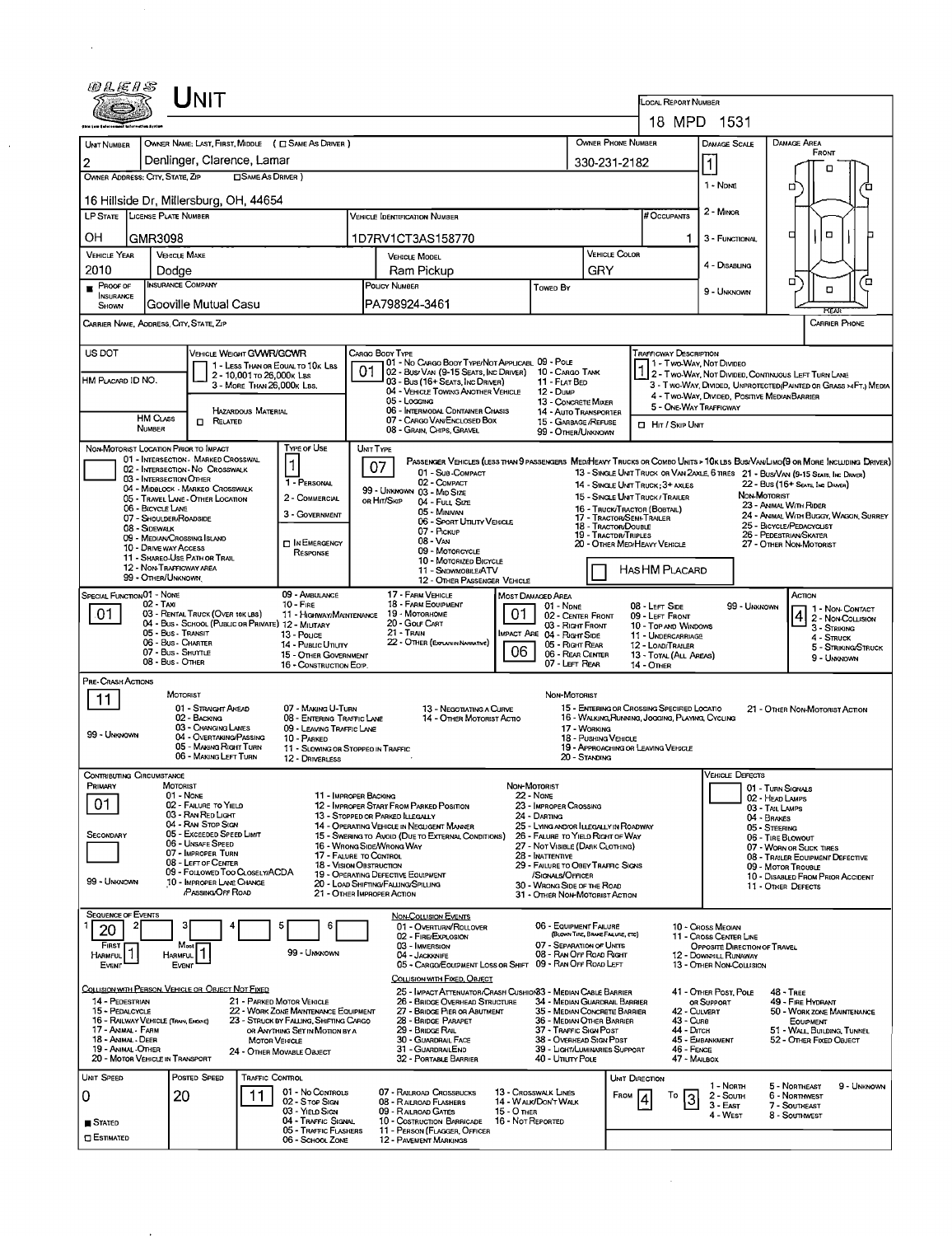| OLE1S                                                                                                                                                                                                              |                                                                                               | Unit                                                  |                                                           |                                                                   |                                            |                                                                                                                                                        |                                                                                                                  |                                                               |                                                                                                 |                                      |                                                                      |                                                                                                                  |                                                  |                                        |                                       |  |  |  |
|--------------------------------------------------------------------------------------------------------------------------------------------------------------------------------------------------------------------|-----------------------------------------------------------------------------------------------|-------------------------------------------------------|-----------------------------------------------------------|-------------------------------------------------------------------|--------------------------------------------|--------------------------------------------------------------------------------------------------------------------------------------------------------|------------------------------------------------------------------------------------------------------------------|---------------------------------------------------------------|-------------------------------------------------------------------------------------------------|--------------------------------------|----------------------------------------------------------------------|------------------------------------------------------------------------------------------------------------------|--------------------------------------------------|----------------------------------------|---------------------------------------|--|--|--|
|                                                                                                                                                                                                                    |                                                                                               |                                                       |                                                           |                                                                   |                                            |                                                                                                                                                        |                                                                                                                  |                                                               |                                                                                                 |                                      | LOCAL REPORT NUMBER                                                  | 18 MPD 1531                                                                                                      |                                                  |                                        |                                       |  |  |  |
| UNIT NUMBER                                                                                                                                                                                                        |                                                                                               |                                                       |                                                           | OWNER NAME: LAST, FIRST, MIDDLE ( C SAME AS DRIVER )              |                                            |                                                                                                                                                        |                                                                                                                  |                                                               |                                                                                                 | OWNER PHONE NUMBER                   |                                                                      | <b>DAMAGE SCALE</b>                                                                                              | <b>DAMAGE AREA</b>                               |                                        |                                       |  |  |  |
| 2                                                                                                                                                                                                                  |                                                                                               | Denlinger, Clarence, Lamar                            |                                                           |                                                                   |                                            |                                                                                                                                                        |                                                                                                                  | 330-231-2182                                                  |                                                                                                 | $\vert$ 1                            |                                                                      | FRONT                                                                                                            |                                                  |                                        |                                       |  |  |  |
| OWNER ADDRESS: CITY, STATE, ZIP<br><b>SAME AS DRIVER</b> )                                                                                                                                                         |                                                                                               |                                                       |                                                           |                                                                   |                                            |                                                                                                                                                        |                                                                                                                  |                                                               |                                                                                                 |                                      | о                                                                    |                                                                                                                  |                                                  |                                        |                                       |  |  |  |
| 16 Hillside Dr. Millersburg, OH, 44654                                                                                                                                                                             |                                                                                               |                                                       |                                                           |                                                                   |                                            | $1 -$ NDNE                                                                                                                                             | о                                                                                                                |                                                               |                                                                                                 |                                      |                                                                      |                                                                                                                  |                                                  |                                        |                                       |  |  |  |
| LP STATE LICENSE PLATE NUMBER                                                                                                                                                                                      |                                                                                               |                                                       |                                                           |                                                                   | # Occupants                                | 2 - MINOR                                                                                                                                              |                                                                                                                  |                                                               |                                                                                                 |                                      |                                                                      |                                                                                                                  |                                                  |                                        |                                       |  |  |  |
| OН<br>1D7RV1CT3AS158770<br>GMR3098                                                                                                                                                                                 |                                                                                               |                                                       |                                                           |                                                                   |                                            |                                                                                                                                                        |                                                                                                                  |                                                               |                                                                                                 |                                      |                                                                      | 3 - FUNCTIONAL                                                                                                   | Ω                                                | о                                      |                                       |  |  |  |
| <b>VEHICLE YEAR</b>                                                                                                                                                                                                | <b>VEHICLE MAKE</b>                                                                           |                                                       |                                                           |                                                                   | <b>VEHICLE MODEL</b>                       |                                                                                                                                                        |                                                                                                                  |                                                               |                                                                                                 | <b>VEHICLE COLOR</b>                 |                                                                      |                                                                                                                  |                                                  |                                        |                                       |  |  |  |
| 2010                                                                                                                                                                                                               | Dodge                                                                                         |                                                       |                                                           |                                                                   |                                            | Ram Pickup                                                                                                                                             |                                                                                                                  | GRY                                                           |                                                                                                 |                                      | 4 - DISABLING                                                        | α                                                                                                                |                                                  | ō                                      |                                       |  |  |  |
| PROOF OF<br>INSURANCE<br>SHOWN                                                                                                                                                                                     | INSURANCE COMPANY                                                                             | Gooville Mutual Casu                                  |                                                           |                                                                   | POLICY NUMBER<br>Towed By<br>PA798924-3461 |                                                                                                                                                        |                                                                                                                  |                                                               |                                                                                                 |                                      |                                                                      | 9 - UNKNOWN                                                                                                      |                                                  | $\Box$<br><b>REAR</b>                  |                                       |  |  |  |
| Carrier Name, Address, City, State, Zip                                                                                                                                                                            |                                                                                               |                                                       |                                                           |                                                                   |                                            |                                                                                                                                                        |                                                                                                                  |                                                               |                                                                                                 |                                      |                                                                      |                                                                                                                  |                                                  |                                        | <b>CARRIER PHONE</b>                  |  |  |  |
| US DOT<br>VEHICLE WEIGHT GVWR/GCWR<br>TRAFFICWAY DESCRIPTION<br>CARGO BODY TYPE                                                                                                                                    |                                                                                               |                                                       |                                                           |                                                                   |                                            |                                                                                                                                                        |                                                                                                                  |                                                               |                                                                                                 |                                      |                                                                      |                                                                                                                  |                                                  |                                        |                                       |  |  |  |
|                                                                                                                                                                                                                    |                                                                                               |                                                       | 2 - 10,001 To 26,000K LBS                                 | 1 - LESS THAN OR EQUAL TO 10x LBS                                 |                                            | 01 - No CARGO BODY TYPE/NOT APPLICABL 09 - POLE<br>02 - Bus/Van (9-15 Seats, Inc Driver)                                                               |                                                                                                                  | 10 - CARGO TANK                                               |                                                                                                 |                                      |                                                                      | 1 - Two-Way, Not Divideo<br>1 2 - Two-Way, Not Divided, Continuous Left Turn Lane                                |                                                  |                                        |                                       |  |  |  |
| HM PLACARD ID NO.                                                                                                                                                                                                  |                                                                                               |                                                       | 3 - MORE THAN 26,000K LBS.                                |                                                                   |                                            | 03 - Bus (16+ Seats, INC DRIVER)<br>04 - VEHICLE TOWING ANOTHER VEHICLE                                                                                |                                                                                                                  | 11 - FLAT BED<br><b>12 - DuмP</b>                             |                                                                                                 |                                      |                                                                      | 3 - Two-Way, DIVIDED, UNPROTECTED (PAINTED OR GRASS >4FT.) MEDIA<br>4 - Two-WAY, DIVIDED, POSITIVE MEDIANBARRIER |                                                  |                                        |                                       |  |  |  |
|                                                                                                                                                                                                                    |                                                                                               |                                                       | HAZARDOUS MATERIAL                                        |                                                                   |                                            | 05 - Logging<br>06 - INTERMODAL CONTAINER CHASIS                                                                                                       |                                                                                                                  | 13 - CONCRETE MIXER<br>14 - Auto Transporter                  |                                                                                                 |                                      | 5 - ONE-WAY TRAFFICWAY                                               |                                                                                                                  |                                                  |                                        |                                       |  |  |  |
|                                                                                                                                                                                                                    | <b>HM CLASS</b><br><b>NUMBER</b>                                                              | 0<br>RELATED                                          |                                                           |                                                                   |                                            | 07 - CARGO VAN/ENCLOSED BOX<br>15 - GARBAGE /REFUSE<br>08 - Grain, Chips, Gravel<br>99 - OTHER/UNKNOWN                                                 |                                                                                                                  |                                                               |                                                                                                 |                                      |                                                                      | <b>El HIT / SKIP UNIT</b>                                                                                        |                                                  |                                        |                                       |  |  |  |
| NON-MOTORIST LOCATION PRIOR TO IMPACT                                                                                                                                                                              |                                                                                               | 01 - INTERSECTION - MARKED CROSSWAL                   |                                                           | TYPE OF USE                                                       |                                            | <b>UMT TYPE</b>                                                                                                                                        |                                                                                                                  |                                                               |                                                                                                 |                                      |                                                                      |                                                                                                                  |                                                  |                                        |                                       |  |  |  |
|                                                                                                                                                                                                                    |                                                                                               | 02 - INTERSECTION - NO CROSSWALK                      |                                                           | $\vert$ 1                                                         |                                            | PASSENGER VEHICLES (LESS THAN 9 PASSENGERS MED/HEAVY TRUCKS OR COMBO UNITS > 10K LBS BUS/VAWLIMO(9 OR MORE INCLUDING DRIVER)<br>07<br>01 - Sue-Compact |                                                                                                                  |                                                               |                                                                                                 |                                      |                                                                      | 13 - SINGLE UNIT TRUCK OR VAN 2AXLE, 6 TIRES 21 - BUS/VAN (9-15 SEATS, INC DRAGR)                                |                                                  |                                        |                                       |  |  |  |
| 03 - INTERSECTION OTHER<br>1 - PERSONAL<br>02 - COMPACT<br>04 - MIDBLOCK - MARKEO CROSSWALK<br>99 - UNKNOWN 03 - MID SIZE<br>05 - TRAVEL LANE - OTHER LOCATION                                                     |                                                                                               |                                                       |                                                           |                                                                   |                                            |                                                                                                                                                        |                                                                                                                  |                                                               |                                                                                                 |                                      | 14 - SINGLE UNIT TRUCK: 3+ AXLES<br>15 - SINGLE UNIT TRUCK / TRAILER |                                                                                                                  | 22 - Bus (16+ Seats, Inc Draver)<br>NON-MOTORIST |                                        |                                       |  |  |  |
|                                                                                                                                                                                                                    | 06 - BICYCLE LANE                                                                             |                                                       |                                                           | 2 - COMMERCIAL<br>3 - GOVERNMENT                                  |                                            | OR HIT/SKIP<br>04 - FULL SIZE<br>05 - Minivan                                                                                                          |                                                                                                                  |                                                               |                                                                                                 |                                      | 16 - TRUCK/TRACTOR (BOBTAIL)                                         |                                                                                                                  | 23 - ANIMAL WITH RIDER                           |                                        | 24 - ANIMAL WITH BUGGY, WAGON, SURREY |  |  |  |
| 08 - SIDEWALK                                                                                                                                                                                                      | 07 - Shoulder/Roadside                                                                        |                                                       |                                                           | 06 - Sport Utility Vericle<br>07 - PICKUP                         |                                            |                                                                                                                                                        |                                                                                                                  | 17 - TRACTOR/SEM-TRAILER<br>18 - TRACTOR/SEM-TRAILER          |                                                                                                 |                                      | 25 - BICYCLE/PEDACYCLIST                                             |                                                                                                                  |                                                  |                                        |                                       |  |  |  |
|                                                                                                                                                                                                                    |                                                                                               | 09 - MEDIAN/CROSSING ISLAND                           |                                                           | <b>DI</b> N EMERGENCY                                             |                                            | 08 - VAN                                                                                                                                               | <b>19 - TRACTOR/TRIPLES</b><br>26 - PEDESTRIAN SKATER<br>20 - OTHER MED/HEAVY VEHICLE<br>27 - OTHER NON-MOTORIST |                                                               |                                                                                                 |                                      |                                                                      |                                                                                                                  |                                                  |                                        |                                       |  |  |  |
| 10 - DRIVE WAY ACCESS<br>09 - MOTORCYCLE<br>RESPONSE<br>11 - SHAREO-USE PATH OR TRAIL<br>10 - MOTORIZED BICYCLE<br>12 - NON-TRAFFICWAY AREA                                                                        |                                                                                               |                                                       |                                                           |                                                                   |                                            |                                                                                                                                                        |                                                                                                                  |                                                               |                                                                                                 |                                      | HAS HM PLACARD                                                       |                                                                                                                  |                                                  |                                        |                                       |  |  |  |
|                                                                                                                                                                                                                    | 99 - OTHER/UNKNOWN                                                                            |                                                       |                                                           |                                                                   |                                            | 11 - SNOWMOBILE/ATV<br>12 - OTHER PASSENGER VEHICLE                                                                                                    |                                                                                                                  |                                                               |                                                                                                 |                                      |                                                                      |                                                                                                                  |                                                  |                                        |                                       |  |  |  |
| SPECIAL FUNCTION 01 - NONE                                                                                                                                                                                         | $02 - Tx$                                                                                     |                                                       |                                                           | 09 AMBULANCE<br><b>10 - FIRE</b>                                  |                                            | 17 - FARM VEHICLE<br>18 - FARM EQUIPMENT                                                                                                               |                                                                                                                  | MOST DAMAGED AREA                                             |                                                                                                 |                                      |                                                                      |                                                                                                                  |                                                  | Астюм                                  |                                       |  |  |  |
| 01                                                                                                                                                                                                                 |                                                                                               | 03 - RENTAL TRUCK (OVER 10K LBS)                      |                                                           | 11 - HIGHWAY/MAINTENANCE                                          |                                            | 19 - Мотовноме<br>20 - Gour CART                                                                                                                       | 01 - N <sub>DNE</sub><br>02 - CENTER FRONT                                                                       |                                                               |                                                                                                 | 08 - LEFT SIDE<br>09 - LEFT FRONT    | 99 - UNKNOWN                                                         |                                                                                                                  |                                                  | 1 - Non-Contact<br>4 2 - Non-Collision |                                       |  |  |  |
|                                                                                                                                                                                                                    | 05 - Bus - Transit                                                                            |                                                       |                                                           | 04 - Bus - SCHOOL (PUBLIC OR PRIVATE) 12 - MILITARY<br>13 - Pouce |                                            | 21 - TRAIN                                                                                                                                             |                                                                                                                  | 03 - Right Front<br><b>IMPACT ARE 04 - RIGHT SIDE</b>         |                                                                                                 |                                      | 10 - TOP AND WINDOWS<br>11 - UNDERCARRIAGE                           |                                                                                                                  |                                                  | 3 - STRIKNG<br>4 - Struck              |                                       |  |  |  |
|                                                                                                                                                                                                                    | 06 - Bus - Charter<br>07 - Bus - SHUTTLE                                                      |                                                       |                                                           | 14 - Pusuc Unury<br>15 - OTHER GOVERNMENT                         |                                            | 22 - OTHER (EXPLAIN IN NAPRATIVE)<br>05 - RIGHT REAR<br>06<br>06 - REAR CENTER                                                                         |                                                                                                                  |                                                               |                                                                                                 |                                      | 12 - LOAD/TRAILER<br>13 - TOTAL (ALL AREAS)                          |                                                                                                                  |                                                  |                                        | 5 - STRIKING/STRUCK<br>9 - UNKNOWN    |  |  |  |
|                                                                                                                                                                                                                    | 08 - Bus - OTHER                                                                              |                                                       |                                                           | 16 - CONSTRUCTION EOIP.                                           |                                            |                                                                                                                                                        |                                                                                                                  | 07 - LEFT REAR                                                |                                                                                                 |                                      | 14 - Отнев                                                           |                                                                                                                  |                                                  |                                        |                                       |  |  |  |
| PRE-CRASH ACTIONS                                                                                                                                                                                                  |                                                                                               | <b>MOTORIST</b>                                       |                                                           |                                                                   |                                            |                                                                                                                                                        |                                                                                                                  | NON-MOTORIST                                                  |                                                                                                 |                                      |                                                                      |                                                                                                                  |                                                  |                                        |                                       |  |  |  |
| 11                                                                                                                                                                                                                 |                                                                                               | 01 - STRAIGHT AHEAD                                   |                                                           | 07 - MAKING U-TURN                                                |                                            | 13 - NEGOTIATING A CURVE                                                                                                                               |                                                                                                                  |                                                               |                                                                                                 |                                      | 15 - ENTERING OR CROSSING SPECIFIED LOCATIO                          |                                                                                                                  | 21 - OTHER NON-MOTORIST ACTION                   |                                        |                                       |  |  |  |
| 99 - UNKNOWN                                                                                                                                                                                                       |                                                                                               | 02 - BACKING<br>03 - CHANGING LANES                   |                                                           | 08 - ENTERING TRAFFIC LANE<br>09 - LEAVING TRAFFIC LANE           |                                            | 14 - OTHER MOTORIST ACTIO                                                                                                                              |                                                                                                                  |                                                               | 17 WORKING                                                                                      |                                      | 16 - WALKING RUNNING, JOGGING, PLAYING, CYCLING                      |                                                                                                                  |                                                  |                                        |                                       |  |  |  |
|                                                                                                                                                                                                                    |                                                                                               | 04 - OVERTAKING/PASSING<br>05 - MAKING RIGHT TURN     |                                                           | 10 - PARKED<br>11 - Slowing or Stoppeo in Traffic                 |                                            |                                                                                                                                                        |                                                                                                                  |                                                               |                                                                                                 | 18 - PUSHING VEHICLE                 | 19 - APPROACHING OR LEAVING VEHICLE                                  |                                                                                                                  |                                                  |                                        |                                       |  |  |  |
|                                                                                                                                                                                                                    |                                                                                               | 06 - MAKING LEFT TURN                                 |                                                           | 12 - DRIVERLESS                                                   |                                            |                                                                                                                                                        |                                                                                                                  |                                                               | 20 - Standing                                                                                   |                                      |                                                                      |                                                                                                                  |                                                  |                                        |                                       |  |  |  |
| CONTRIBUTING CIRCUMSTANCE<br>Primary                                                                                                                                                                               | <b>MOTORIST</b>                                                                               |                                                       |                                                           |                                                                   |                                            |                                                                                                                                                        | NON-MOTORIST                                                                                                     |                                                               |                                                                                                 |                                      |                                                                      | <b>VEHICLE DEFECTS</b>                                                                                           |                                                  |                                        |                                       |  |  |  |
| 01                                                                                                                                                                                                                 |                                                                                               | 01 - NONE<br>02 - FAILURE TO YIELD                    |                                                           | 11 - IMPROPER BACKING                                             |                                            | 12 - IMPROPER START FROM PARKED POSITION                                                                                                               |                                                                                                                  | 22 - None<br>23 - IMPROPER CROSSING                           |                                                                                                 | 01 - TURN SIGNALS<br>02 - HEAD LAMPS |                                                                      |                                                                                                                  |                                                  |                                        |                                       |  |  |  |
|                                                                                                                                                                                                                    |                                                                                               | 03 - RAN RED LIGHT<br>04 - RAN STOP SIGN              |                                                           |                                                                   |                                            | 13 - STOPPED OR PARKED ILLEGALLY                                                                                                                       | 24 - DARTING<br>25 - LYING AND/OR ILLEGALLY IN ROADWAY                                                           |                                                               |                                                                                                 |                                      |                                                                      |                                                                                                                  | 03 - TAIL LAMPS<br>04 - BRAKES                   |                                        |                                       |  |  |  |
| SECONDARY                                                                                                                                                                                                          |                                                                                               | 05 - Excreped Speed Limit<br>06 - UNSAFE SPEED        |                                                           |                                                                   |                                            | 14 - OPERATING VEHICLE IN NEGLIGENT MANNER<br>15 - Swering to Avoid (Due to External Conditions)                                                       |                                                                                                                  | 26 - FALURE TO YIELD RIGHT OF WAY                             |                                                                                                 |                                      |                                                                      |                                                                                                                  | 05 - STEERING<br>06 - TIRE BLOWOUT               |                                        |                                       |  |  |  |
|                                                                                                                                                                                                                    |                                                                                               | 07 - IMPROPER TURN                                    |                                                           |                                                                   |                                            | 16 - Wrong Side/Wrong Way<br>17 - FALURE TO CONTROL                                                                                                    |                                                                                                                  | 28 - INATTENTIVE                                              | 27 - NOT VISIBLE (DARK CLOTHING)<br>07 - WORN OR SLICK TIRES<br>08 - TRALER EQUIPMENT DEFECTIVE |                                      |                                                                      |                                                                                                                  |                                                  |                                        |                                       |  |  |  |
|                                                                                                                                                                                                                    |                                                                                               | 08 - LEFT OF CENTER<br>09 - FOLLOWED TOO CLOSELY/ACDA |                                                           |                                                                   |                                            | 18 - VISION OBSTRUCTION<br>19 - OPERATING DEFECTIVE EQUIPMENT                                                                                          |                                                                                                                  | /SIGNALS/OFFICER                                              | 29 - FAILURE TO OBEY TRAFFIC SIGNS<br>09 - MOTOR TROUBLE<br>10 - DISABLED FROM PRIOR ACCIDENT   |                                      |                                                                      |                                                                                                                  |                                                  |                                        |                                       |  |  |  |
| 99 - UNKNOWN                                                                                                                                                                                                       |                                                                                               | 10 - IMPROPER LANE CHANGE<br>PASSING OFF ROAD         |                                                           |                                                                   |                                            | 20 - LOAD SHIFTING/FALLING/SPILLING<br>21 - OTHER IMPROPER ACTION                                                                                      |                                                                                                                  | 30 - WRONG SIDE OF THE ROAD<br>31 - OTHER NON-MOTORIST ACTION |                                                                                                 |                                      |                                                                      |                                                                                                                  | 11 - OTHER DEFECTS                               |                                        |                                       |  |  |  |
| <b>SEQUENCE OF EVENTS</b>                                                                                                                                                                                          |                                                                                               |                                                       |                                                           |                                                                   |                                            | <b>NON-COLLISION EVENTS</b>                                                                                                                            |                                                                                                                  |                                                               |                                                                                                 |                                      |                                                                      |                                                                                                                  |                                                  |                                        |                                       |  |  |  |
| 2<br>20                                                                                                                                                                                                            |                                                                                               |                                                       |                                                           | 5<br>6                                                            |                                            | 01 - Overturn/Rollover<br>02 - FIRE/EXPLOSION                                                                                                          |                                                                                                                  | 06 - EQUIPMENT FAILURE                                        |                                                                                                 | (BLOWN TIRE, BRAKE FAILURE, ETC)     |                                                                      | 10 - Cross Median<br>11 - Cross CENTER LINE                                                                      |                                                  |                                        |                                       |  |  |  |
| FIRST<br>1<br><b>HARMFUL</b>                                                                                                                                                                                       | <b>HARMFUL</b>                                                                                | Most                                                  |                                                           | 99 - Unknown                                                      |                                            | 03 - IMMERSION<br>04 - JACKKNIFE                                                                                                                       |                                                                                                                  | 07 - SEPARATION OF UNITS<br>08 - RAN OFF ROAD RIGHT           |                                                                                                 |                                      |                                                                      | OPPOSITE DIRECTION OF TRAVEL<br>12 - DOWNHILL RUNAWAY                                                            |                                                  |                                        |                                       |  |  |  |
| EVENT                                                                                                                                                                                                              | Event                                                                                         |                                                       |                                                           |                                                                   |                                            | 05 - CARGO/EOUIPMENT LOSS OR SHIFT 09 - RAN OFF ROAD LEFT                                                                                              |                                                                                                                  |                                                               |                                                                                                 |                                      |                                                                      | 13 - OTHER NON-COLLISION                                                                                         |                                                  |                                        |                                       |  |  |  |
| COLLISION WITH PERSON, VEHICLE OR OBJECT NOT FIXED                                                                                                                                                                 |                                                                                               |                                                       |                                                           |                                                                   |                                            | COLLISION WITH FIXED, OBJECT<br>25 - IMPACT ATTENUATOR/CRASH CUSHION33 - MEDIAN CABLE BARRIER                                                          |                                                                                                                  |                                                               |                                                                                                 |                                      |                                                                      | 41 - OTHER POST, POLE                                                                                            | <b>48 - TREE</b>                                 |                                        |                                       |  |  |  |
| 14 - PEDESTRIAN                                                                                                                                                                                                    |                                                                                               |                                                       |                                                           | 21 - PARKED MOTOR VEHICLE<br>22 - WORK ZONE MAINTENANCE EQUIPMENT |                                            | 26 - BRIDGE OVERHEAD STRUCTURE                                                                                                                         |                                                                                                                  | 34 - MEDIAN GUARDRAIL BARRIER                                 |                                                                                                 |                                      |                                                                      | OR SUPPORT                                                                                                       |                                                  | 49 - FIRE HYDRANT                      |                                       |  |  |  |
| 15 - PEDALCYCLE<br>16 - RAILWAY VEHICLE (TRAIN, ENDINE)                                                                                                                                                            | 27 - BRIDGE PIER OR ABUTMENT<br>23 - STRUCK BY FALLING, SHIFTING CARGO<br>28 - BRIDGE PARAPET |                                                       | 35 - MEDIAN CONCRETE BARRIER<br>36 - MEDIAN OTHER BARRIER |                                                                   |                                            | 42 - CULVERT<br>43 - Cure                                                                                                                              |                                                                                                                  |                                                               | 50 - WORK ZONE MAINTENANCE<br>EOUPMENT                                                          |                                      |                                                                      |                                                                                                                  |                                                  |                                        |                                       |  |  |  |
| 17 - Animal - Farm<br>18 - ANIMAL - DEER                                                                                                                                                                           |                                                                                               |                                                       | Мотов VEHICLE                                             | OR ANYTHING SET IN MOTION BY A                                    |                                            | 29 - Bridge Rail<br>30 - GUARDRAIL FACE                                                                                                                |                                                                                                                  | 37 - TRAFFIC SIGN POST<br>38 - Overhead Stan Post             |                                                                                                 |                                      |                                                                      | 44 - Олтсн<br>51 - WALL BUILDING, TUNNEL<br>45 - EMBANKMENT<br>52 - OTHER FIXED OBJECT                           |                                                  |                                        |                                       |  |  |  |
| 19 - ANIMAL - OTHER<br>31 - GUARDRALEND<br>39 - LIGHT/LUMINARIES SUPPORT<br>46 - FENCE<br>24 - OTHER MOVABLE OBJECT<br>20 - MOTOR VEHICLE IN TRANSPORT<br>32 - PORTABLE BARRIER<br>40 - Ununy Pous<br>47 - MAILBOX |                                                                                               |                                                       |                                                           |                                                                   |                                            |                                                                                                                                                        |                                                                                                                  |                                                               |                                                                                                 |                                      |                                                                      |                                                                                                                  |                                                  |                                        |                                       |  |  |  |
| Unit Speed                                                                                                                                                                                                         |                                                                                               | Posted Speed                                          | <b>TRAFFIC CONTROL</b>                                    |                                                                   |                                            |                                                                                                                                                        |                                                                                                                  |                                                               |                                                                                                 | UNIT DIRECTION                       |                                                                      |                                                                                                                  |                                                  |                                        |                                       |  |  |  |
| 0                                                                                                                                                                                                                  | 20                                                                                            |                                                       | 11                                                        | 01 - No CONTROLS<br>02 - S TOP SIGN                               |                                            | 07 - RAILROAD CROSSBUCKS<br>08 - RAILROAD FLASHERS                                                                                                     |                                                                                                                  | 13 - Crosswalk Lines<br>14 - WALK/DON'T WALK                  |                                                                                                 | FROM                                 | То<br>3                                                              | 1 - North<br>2 - South                                                                                           | 5 - Northeast<br>6 - NORTHWEST                   |                                        | 9 - UNKNOWN                           |  |  |  |
|                                                                                                                                                                                                                    |                                                                                               |                                                       |                                                           | 03 - YIELD SIGN<br>04 - TRAFFIC SIGNAL                            |                                            | 09 - RAILROAD GATES<br>10 - COSTRUCTION BARRICADE                                                                                                      | 15 - О тнея<br>16 - Not Reported                                                                                 |                                                               |                                                                                                 |                                      |                                                                      | 3 - East<br>4 - WEST                                                                                             | 7 - SOUTHEAST<br>8 - Southwest                   |                                        |                                       |  |  |  |
| <b>STATED</b><br><b>C</b> ESTIMATED                                                                                                                                                                                |                                                                                               |                                                       |                                                           | 05 - TRAFFIC FLASHERS                                             |                                            | 11 - PERSON (FLAGGER, OFFICER                                                                                                                          |                                                                                                                  |                                                               |                                                                                                 |                                      |                                                                      |                                                                                                                  |                                                  |                                        |                                       |  |  |  |
|                                                                                                                                                                                                                    |                                                                                               |                                                       |                                                           | 06 - SCHOOL ZONE                                                  |                                            | <b>12 - PAVEMENT MARKINGS</b>                                                                                                                          |                                                                                                                  |                                                               |                                                                                                 |                                      |                                                                      |                                                                                                                  |                                                  |                                        |                                       |  |  |  |

 $\mathcal{L}^{\text{max}}_{\text{max}}$ 

 $\sim 10^{-10}$ 

 $\hat{A}^{(1)}$